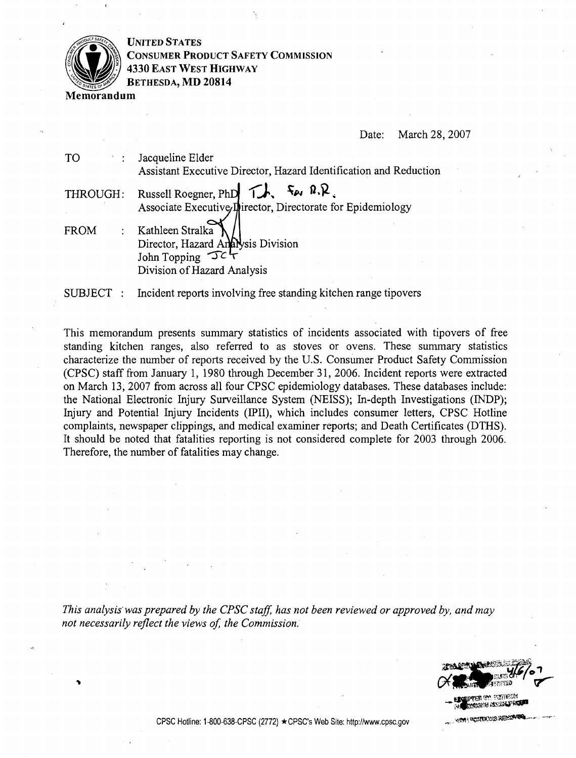

**UNITED STATES CONSUMER PRODUCT SAFETY COMMISSION 4330 EAST WEST HIGHWAY BETHESDA, MD 20814** 

**Memorandum** 

Date: March 28,2007

| TO             | : Jacqueline Elder<br>Assistant Executive Director, Hazard Identification and Reduction                                                                                         |
|----------------|---------------------------------------------------------------------------------------------------------------------------------------------------------------------------------|
| THROUGH:       | Russell Roegner, PhD $\overrightarrow{L}$ , $\overrightarrow{A}$ , $\overrightarrow{R}$ , $\overrightarrow{R}$ ,<br>Associate Executive Inirector, Directorate for Epidemiology |
| FROM           | : Kathleen Stralka<br>Director, Hazard Analysis Division<br>John Topping $\mathcal{F}$                                                                                          |
|                | Division of Hazard Analysis                                                                                                                                                     |
| <b>SUBJECT</b> | Incident reports involving free standing kitchen range tipovers                                                                                                                 |

This memorandum presents summary statistics of incidents associated with tipovers of free standing kitchen ranges, also referred to as stoves or ovens. These summary statistics characterize the number of reports received by the U.S. Consumer Product Safety Commission (CPSC) staff from January 1, 1980 through December 31, 2006. Incident reports were extracted on March 13, 2007 from across all four CPSC epidemiology databases. These databases include: the National Electronic Injury Surveillance System (NEISS); In-depth Investigations (INDP); Injury and Potential Injury Incidents (IPII), which includes consumer letters, CPSC Hotline complaints, newspaper clippings, and medical examiner reports; and Death Certificates (DTHS). It should be noted that fatalities reporting is not considered complete for 2003 through 2006. Therefore, the number of fatalities may change.

*This analysis was prepared by the CPSC staff, has not been reviewed or approved by, and may* not necessarily reflect the views of, the Commission.

**c**<br>**external o**ctivities<br>**- Alexander Andrews**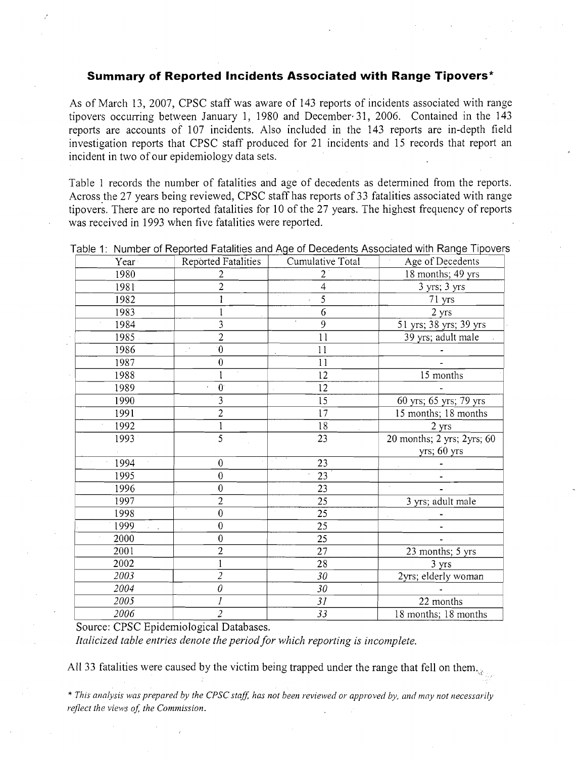## **Summary of Reported Incidents Associated with Range Tipovers\***

|              | <b>Summary of Reported Incidents Associated with Range Tipovers*</b>                                                                                                                                                                                                                                                                                                                                                                                           |                  |                                                                       |
|--------------|----------------------------------------------------------------------------------------------------------------------------------------------------------------------------------------------------------------------------------------------------------------------------------------------------------------------------------------------------------------------------------------------------------------------------------------------------------------|------------------|-----------------------------------------------------------------------|
|              | As of March 13, 2007, CPSC staff was aware of 143 reports of incidents associated with rang<br>ipovers occurring between January 1, 1980 and December 31, 2006. Contained in the 14<br>eports are accounts of 107 incidents. Also included in the 143 reports are in-depth fiel<br>nvestigation reports that CPSC staff produced for 21 incidents and 15 records that report a<br>ncident in two of our epidemiology data sets.                                |                  |                                                                       |
|              | Fable 1 records the number of fatalities and age of decedents as determined from the reports<br>Across the 27 years being reviewed, CPSC staff has reports of 33 fatalities associated with rang<br>ipovers. There are no reported fatalities for 10 of the 27 years. The highest frequency of report<br>vas received in 1993 when five fatalities were reported.<br>Table 1: Number of Reported Fatalities and Age of Decedents Associated with Range Tipover |                  |                                                                       |
| Year         | <b>Reported Fatalities</b>                                                                                                                                                                                                                                                                                                                                                                                                                                     | Cumulative Total | Age of Decedents                                                      |
| 1980         | 2                                                                                                                                                                                                                                                                                                                                                                                                                                                              | $\overline{2}$   | 18 months; 49 yrs                                                     |
| 1981         | $\overline{c}$                                                                                                                                                                                                                                                                                                                                                                                                                                                 | $\overline{4}$   | 3 yrs; 3 yrs                                                          |
| 1982         | 1                                                                                                                                                                                                                                                                                                                                                                                                                                                              | $\overline{5}$   | 71 yrs                                                                |
| 1983         |                                                                                                                                                                                                                                                                                                                                                                                                                                                                | 6                | 2 yrs                                                                 |
| 1984         | 3                                                                                                                                                                                                                                                                                                                                                                                                                                                              | $\overline{9}$   | 51 yrs; 38 yrs; 39 yrs                                                |
| 1985         | $\overline{2}$                                                                                                                                                                                                                                                                                                                                                                                                                                                 | 11               | 39 yrs; adult male                                                    |
| 1986         | $\overline{0}$                                                                                                                                                                                                                                                                                                                                                                                                                                                 | 11               |                                                                       |
| 1987         | $\boldsymbol{0}$                                                                                                                                                                                                                                                                                                                                                                                                                                               | 11               |                                                                       |
| 1988         |                                                                                                                                                                                                                                                                                                                                                                                                                                                                | 12               | 15 months                                                             |
| 1989         | $\mathbf{0}$                                                                                                                                                                                                                                                                                                                                                                                                                                                   | 12               |                                                                       |
| 1990         | 3                                                                                                                                                                                                                                                                                                                                                                                                                                                              | 15               | 60 yrs; 65 yrs; 79 yrs                                                |
| 1991         | $\overline{\mathbf{c}}$                                                                                                                                                                                                                                                                                                                                                                                                                                        | 17               | 15 months; 18 months                                                  |
| 1992         |                                                                                                                                                                                                                                                                                                                                                                                                                                                                | 18               | 2 yrs                                                                 |
| 1993         | 5                                                                                                                                                                                                                                                                                                                                                                                                                                                              | 23               | 20 months; $2 \text{ yrs}$ ; $2 \text{ yrs}$ ; 60<br>$yrs$ ; 60 $yrs$ |
| 1994         | $\boldsymbol{0}$                                                                                                                                                                                                                                                                                                                                                                                                                                               | 23               |                                                                       |
| 1995         | $\overline{0}$                                                                                                                                                                                                                                                                                                                                                                                                                                                 | 23               |                                                                       |
| 1996         | $\overline{0}$                                                                                                                                                                                                                                                                                                                                                                                                                                                 | 23               | $\ddot{\phantom{a}}$                                                  |
| 1997         | $\overline{c}$                                                                                                                                                                                                                                                                                                                                                                                                                                                 | 25               | 3 yrs; adult male                                                     |
| 1998         | $\boldsymbol{0}$                                                                                                                                                                                                                                                                                                                                                                                                                                               | 25               |                                                                       |
| 1999         | $\overline{0}$                                                                                                                                                                                                                                                                                                                                                                                                                                                 | 25               |                                                                       |
|              | 0                                                                                                                                                                                                                                                                                                                                                                                                                                                              | 25               |                                                                       |
|              | $\overline{c}$                                                                                                                                                                                                                                                                                                                                                                                                                                                 | 27               | 23 months; 5 yrs                                                      |
| 2000         |                                                                                                                                                                                                                                                                                                                                                                                                                                                                | 28               | 3 yrs                                                                 |
| 2001         |                                                                                                                                                                                                                                                                                                                                                                                                                                                                |                  |                                                                       |
| 2002         |                                                                                                                                                                                                                                                                                                                                                                                                                                                                |                  |                                                                       |
| 2003         | 2                                                                                                                                                                                                                                                                                                                                                                                                                                                              | 30               |                                                                       |
| 2004<br>2005 | 0                                                                                                                                                                                                                                                                                                                                                                                                                                                              | 30<br>31         | 2yrs; elderly woman<br>22 months                                      |

All 33 fatalities were caused by the victim being trapped under the range that fell on them.

\* This analysis was prepared by the CPSC staff, has not been reviewed or approved by, and may not necessarily *reflect the views of, the Commission.*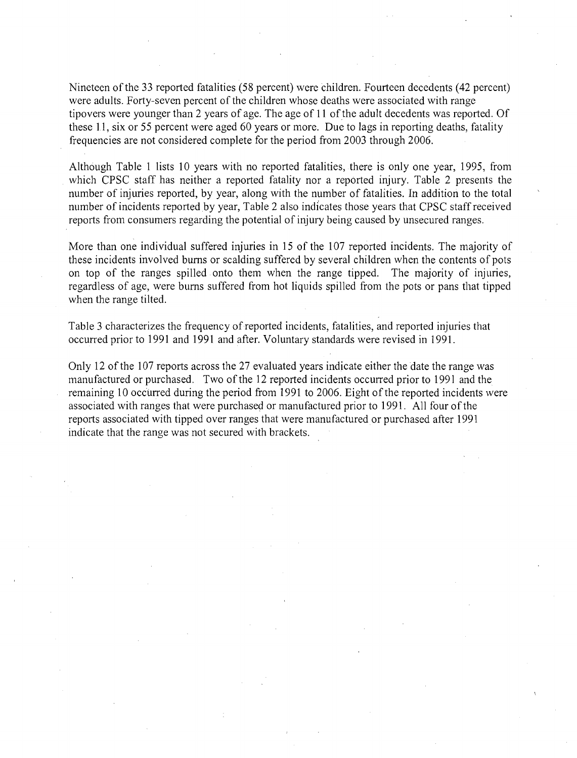Nineteen of the 33 reported fatalities (58 percent) were children. Fourteen decedents (42 percent) were adults. Forty-seven percent of the children whose deaths were associated with range tipovers were younger than 2 years of age. The age of 11 of the adult decedents was reported. Of these 11, six or 55 percent were aged 60 years or more. Due to lags in reporting deaths, fatality frequencies are not considered complete for the period from 2003 through 2006.

Although Table 1 lists 10 years with no reported fatalities, there is only one year, 1995, from which CPSC staff has neither a reported fatality nor a reported injury. Table 2 presents the number of injuries reported, by year, along with the number of fatalities. In addition to the total number of incidents reported by year, Table 2 also indicates those years that CPSC staff received reports from consumers regarding the potential of injury being caused by unsecured ranges.

More than one individual suffered injuries in 15 of the 107 reported incidents. The majority of these incidents involved bums or scalding suffered by several children when the contents of pots on top of the ranges spilled onto them when the range tipped. The majority of injuries, regardless of age, were bums suffered from hot liquids spilled from the pots or pans that tipped when the range tilted.

Table 3 characterizes the frequency of reported incidents, fatalities, and reported injuries that occurred prior to 1991 and 1991 and after. Voluntary standards were revised in 1991.

Only 12 of the 107 reports across the 27 evaluated years indicate either the date the range was manufactured or purchased. Two of the 12 reported incidents occurred prior to 1991 and the remaining 10 occurred during the period from 1991 to 2006. Eight of the reported incidents were associated with ranges that were purchased or manufactured prior to 199 1. All four of the reports associated with tipped over ranges that were manufactured or purchased after 1991 indicate that the range was not secured with brackets.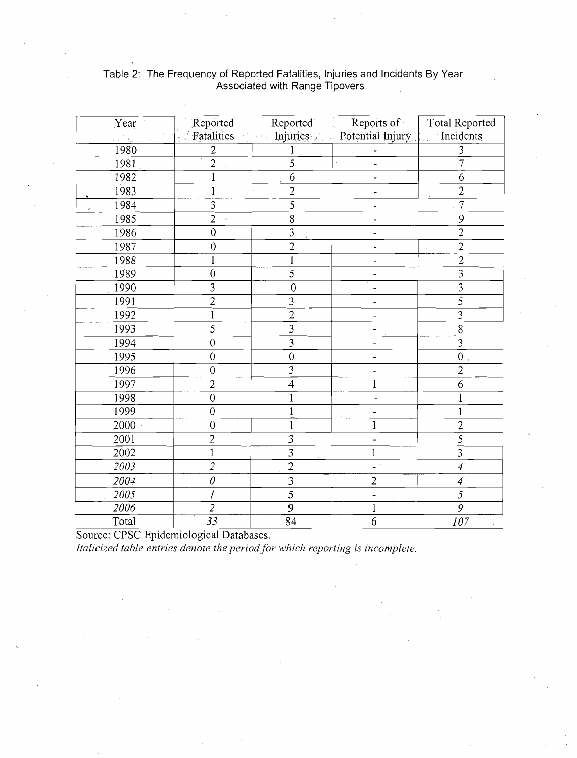| Year                                                          | Reported                                    | Reported        | Reports of                  | <b>Total Reported</b> |
|---------------------------------------------------------------|---------------------------------------------|-----------------|-----------------------------|-----------------------|
| $\frac{1}{2\pi} \frac{1}{2} \frac{1}{4} \frac{1}{2}$<br>그는 무리 | Fatalities                                  |                 | Injuries   Potential Injury | Incidents             |
| 1980                                                          | $\overline{2}$                              |                 |                             | 3                     |
| 1981                                                          | $\overline{2}$                              | 5               |                             | $\overline{7}$        |
| 1982                                                          | 1                                           | 6               |                             | 6                     |
| 1983                                                          | 1                                           | $\overline{2}$  |                             | $\overline{2}$        |
| 1984<br>Î                                                     | 3                                           | 5               |                             | $\overline{7}$        |
| 1985                                                          | $\overline{2}$                              | $\overline{8}$  |                             | 9                     |
| 1986                                                          | $\overline{0}$                              | 3               |                             | $\overline{2}$        |
| 1987                                                          | $\overline{0}$                              | $\overline{2}$  | $\mathcal{L}$               | $\overline{2}$        |
| 1988                                                          | 1                                           | 1               |                             | $\overline{2}$        |
| 1989                                                          | $\overline{0}$                              | 5               |                             | $\overline{3}$        |
| 1990                                                          | 3                                           | $\mathbf{0}$    |                             | $\overline{3}$        |
| 1991                                                          | $\overline{c}$                              | 3               |                             | $\overline{5}$        |
| 1992                                                          |                                             | $\overline{2}$  |                             | $\overline{3}$        |
| 1993                                                          | 5                                           | $\overline{3}$  |                             | $\overline{8}$        |
| 1994                                                          | $\boldsymbol{0}$                            | 3               |                             | $\overline{3}$        |
| 1995                                                          | $\overline{0}$                              | $\mathbf{0}$    |                             | $\overline{0}$        |
| 1996                                                          | $\overline{0}$                              | $\overline{3}$  | ۰                           | $\overline{2}$        |
| 1997                                                          | $\overline{2}$<br>$\mathbb{R}^{d \times d}$ | $\overline{4}$  | $\mathbf 1$                 | 6                     |
| 1998                                                          | $\overline{0}$                              |                 |                             |                       |
| 1999                                                          | $\overline{0}$                              |                 |                             |                       |
| 2000                                                          | $\mathbf{0}$                                |                 | 1                           | $\overline{c}$        |
| 2001                                                          | $\overline{c}$                              | 3               |                             | $\overline{5}$        |
| 2002                                                          | 1                                           | $\overline{3}$  | 1                           | $\overline{3}$        |
| 2003                                                          | $\overline{2}$                              | $\overline{2}$  | $\omega^{-1}$               | $\overline{4}$        |
| 2004                                                          | $\theta$                                    | $\overline{3}$  | $\overline{c}$              | $\overline{4}$        |
| 2005                                                          | $\overline{l}$                              | 5               |                             | $\overline{5}$        |
| 2006                                                          | $\overline{2}$                              | $\overline{9}$  | 1                           | $\overline{g}$        |
| Total                                                         | $\overline{33}$                             | $\overline{84}$ | 6                           | $107\,$               |

## Table 2: The Frequency of Reported Fatalities, Injuries and Incidents By Year Associated with Range Tipovers

Source: CPSC Epidemiological Databases.

*Italicized table entries denote the period for which reporting is incomplete.*